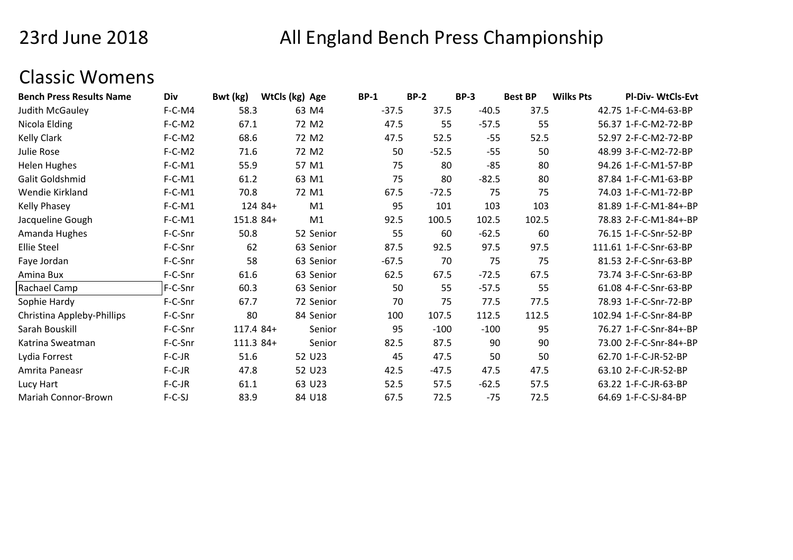## 23rd June 2018

# All England Bench Press Championship

#### Classic Womens

| <b>Bench Press Results Name</b> | Div      | Bwt (kg)  | WtCls (kg) Age |           | <b>BP-1</b> | $BP-2$  | <b>BP-3</b> | <b>Best BP</b> | <b>Wilks Pts</b> | <b>PI-Div-WtCls-Evt</b> |
|---------------------------------|----------|-----------|----------------|-----------|-------------|---------|-------------|----------------|------------------|-------------------------|
| Judith McGauley                 | F-C-M4   | 58.3      | 63 M4          |           | $-37.5$     | 37.5    | $-40.5$     | 37.5           |                  | 42.75 1-F-C-M4-63-BP    |
| Nicola Elding                   | $F-C-M2$ | 67.1      | 72 M2          |           | 47.5        | 55      | $-57.5$     | 55             |                  | 56.37 1-F-C-M2-72-BP    |
| <b>Kelly Clark</b>              | $F-C-M2$ | 68.6      | 72 M2          |           | 47.5        | 52.5    | $-55$       | 52.5           |                  | 52.97 2-F-C-M2-72-BP    |
| Julie Rose                      | $F-C-M2$ | 71.6      | 72 M2          |           | 50          | $-52.5$ | $-55$       | 50             |                  | 48.99 3-F-C-M2-72-BP    |
| <b>Helen Hughes</b>             | $F-C-M1$ | 55.9      | 57 M1          |           | 75          | 80      | $-85$       | 80             |                  | 94.26 1-F-C-M1-57-BP    |
| Galit Goldshmid                 | $F-C-M1$ | 61.2      | 63 M1          |           | 75          | 80      | $-82.5$     | 80             |                  | 87.84 1-F-C-M1-63-BP    |
| Wendie Kirkland                 | $F-C-M1$ | 70.8      | 72 M1          |           | 67.5        | $-72.5$ | 75          | 75             |                  | 74.03 1-F-C-M1-72-BP    |
| Kelly Phasey                    | $F-C-M1$ | 124 84+   |                | M1        | 95          | 101     | 103         | 103            |                  | 81.89 1-F-C-M1-84+-BP   |
| Jacqueline Gough                | $F-C-M1$ | 151.8 84+ |                | M1        | 92.5        | 100.5   | 102.5       | 102.5          |                  | 78.83 2-F-C-M1-84+-BP   |
| Amanda Hughes                   | F-C-Snr  | 50.8      |                | 52 Senior | 55          | 60      | $-62.5$     | 60             |                  | 76.15 1-F-C-Snr-52-BP   |
| <b>Ellie Steel</b>              | F-C-Snr  | 62        |                | 63 Senior | 87.5        | 92.5    | 97.5        | 97.5           |                  | 111.61 1-F-C-Snr-63-BP  |
| Faye Jordan                     | F-C-Snr  | 58        |                | 63 Senior | $-67.5$     | 70      | 75          | 75             |                  | 81.53 2-F-C-Snr-63-BP   |
| Amina Bux                       | F-C-Snr  | 61.6      |                | 63 Senior | 62.5        | 67.5    | $-72.5$     | 67.5           |                  | 73.74 3-F-C-Snr-63-BP   |
| Rachael Camp                    | F-C-Snr  | 60.3      |                | 63 Senior | 50          | 55      | $-57.5$     | 55             |                  | 61.08 4-F-C-Snr-63-BP   |
| Sophie Hardy                    | F-C-Snr  | 67.7      |                | 72 Senior | 70          | 75      | 77.5        | 77.5           |                  | 78.93 1-F-C-Snr-72-BP   |
| Christina Appleby-Phillips      | F-C-Snr  | 80        |                | 84 Senior | 100         | 107.5   | 112.5       | 112.5          |                  | 102.94 1-F-C-Snr-84-BP  |
| Sarah Bouskill                  | F-C-Snr  | 117.4 84+ |                | Senior    | 95          | $-100$  | $-100$      | 95             |                  | 76.27 1-F-C-Snr-84+-BP  |
| Katrina Sweatman                | F-C-Snr  | 111.3 84+ |                | Senior    | 82.5        | 87.5    | 90          | 90             |                  | 73.00 2-F-C-Snr-84+-BP  |
| Lydia Forrest                   | $F-C-JR$ | 51.6      |                | 52 U23    | 45          | 47.5    | 50          | 50             |                  | 62.70 1-F-C-JR-52-BP    |
| Amrita Paneasr                  | $F-C-JR$ | 47.8      |                | 52 U23    | 42.5        | $-47.5$ | 47.5        | 47.5           |                  | 63.10 2-F-C-JR-52-BP    |
| Lucy Hart                       | $F-C-JR$ | 61.1      | 63 U23         |           | 52.5        | 57.5    | $-62.5$     | 57.5           |                  | 63.22 1-F-C-JR-63-BP    |
| Mariah Connor-Brown             | $F-C-SJ$ | 83.9      |                | 84 U18    | 67.5        | 72.5    | $-75$       | 72.5           |                  | 64.69 1-F-C-SJ-84-BP    |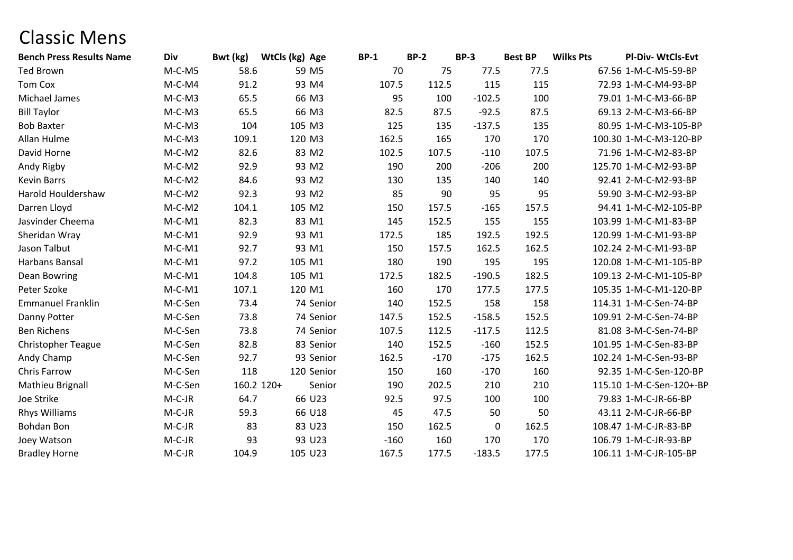### Classic Mens

| <b>Bench Press Results Name</b> | <b>Div</b> | Bwt (kg)   | WtCls (kg) Age | $BP-1$    |        | <b>BP-2</b> | <b>BP-3</b> | <b>Best BP</b> | <b>Wilks Pts</b> | Pl-Div-WtCls-Evt         |
|---------------------------------|------------|------------|----------------|-----------|--------|-------------|-------------|----------------|------------------|--------------------------|
| Ted Brown                       | $M-C-M5$   | 58.6       | 59 M5          |           | 70     | 75          | 77.5        | 77.5           |                  | 67.56 1-M-C-M5-59-BP     |
| <b>Tom Cox</b>                  | $M-C-M4$   | 91.2       | 93 M4          |           | 107.5  | 112.5       | 115         | 115            |                  | 72.93 1-M-C-M4-93-BP     |
| Michael James                   | $M-C-M3$   | 65.5       | 66 M3          |           | 95     | 100         | $-102.5$    | 100            |                  | 79.01 1-M-C-M3-66-BP     |
| <b>Bill Taylor</b>              | $M-C-M3$   | 65.5       | 66 M3          |           | 82.5   | 87.5        | $-92.5$     | 87.5           |                  | 69.13 2-M-C-M3-66-BP     |
| <b>Bob Baxter</b>               | $M-C-M3$   | 104        | 105 M3         |           | 125    | 135         | $-137.5$    | 135            |                  | 80.95 1-M-C-M3-105-BP    |
| Allan Hulme                     | $M-C-M3$   | 109.1      | 120 M3         |           | 162.5  | 165         | 170         | 170            |                  | 100.30 1-M-C-M3-120-BP   |
| David Horne                     | $M-C-M2$   | 82.6       | 83 M2          |           | 102.5  | 107.5       | $-110$      | 107.5          |                  | 71.96 1-M-C-M2-83-BP     |
| Andy Rigby                      | $M-C-M2$   | 92.9       | 93 M2          |           | 190    | 200         | $-206$      | 200            |                  | 125.70 1-M-C-M2-93-BP    |
| Kevin Barrs                     | $M-C-M2$   | 84.6       | 93 M2          |           | 130    | 135         | 140         | 140            |                  | 92.41 2-M-C-M2-93-BP     |
| Harold Houldershaw              | $M-C-M2$   | 92.3       | 93 M2          |           | 85     | 90          | 95          | 95             |                  | 59.90 3-M-C-M2-93-BP     |
| Darren Lloyd                    | $M-C-M2$   | 104.1      | 105 M2         |           | 150    | 157.5       | $-165$      | 157.5          |                  | 94.41 1-M-C-M2-105-BP    |
| Jasvinder Cheema                | $M-C-M1$   | 82.3       | 83 M1          |           | 145    | 152.5       | 155         | 155            |                  | 103.99 1-M-C-M1-83-BP    |
| Sheridan Wray                   | $M-C-M1$   | 92.9       | 93 M1          |           | 172.5  | 185         | 192.5       | 192.5          |                  | 120.99 1-M-C-M1-93-BP    |
| Jason Talbut                    | $M-C-M1$   | 92.7       | 93 M1          |           | 150    | 157.5       | 162.5       | 162.5          |                  | 102.24 2-M-C-M1-93-BP    |
| Harbans Bansal                  | $M-C-M1$   | 97.2       | 105 M1         |           | 180    | 190         | 195         | 195            |                  | 120.08 1-M-C-M1-105-BP   |
| <b>Dean Bowring</b>             | $M-C-M1$   | 104.8      | 105 M1         |           | 172.5  | 182.5       | $-190.5$    | 182.5          |                  | 109.13 2-M-C-M1-105-BP   |
| Peter Szoke                     | $M-C-M1$   | 107.1      | 120 M1         |           | 160    | 170         | 177.5       | 177.5          |                  | 105.35 1-M-C-M1-120-BP   |
| <b>Emmanuel Franklin</b>        | M-C-Sen    | 73.4       |                | 74 Senior | 140    | 152.5       | 158         | 158            |                  | 114.31 1-M-C-Sen-74-BP   |
| Danny Potter                    | M-C-Sen    | 73.8       |                | 74 Senior | 147.5  | 152.5       | $-158.5$    | 152.5          |                  | 109.91 2-M-C-Sen-74-BP   |
| <b>Ben Richens</b>              | M-C-Sen    | 73.8       |                | 74 Senior | 107.5  | 112.5       | $-117.5$    | 112.5          |                  | 81.08 3-M-C-Sen-74-BP    |
| <b>Christopher Teague</b>       | M-C-Sen    | 82.8       |                | 83 Senior | 140    | 152.5       | $-160$      | 152.5          |                  | 101.95 1-M-C-Sen-83-BP   |
| Andy Champ                      | M-C-Sen    | 92.7       |                | 93 Senior | 162.5  | $-170$      | $-175$      | 162.5          |                  | 102.24 1-M-C-Sen-93-BP   |
| Chris Farrow                    | M-C-Sen    | 118        | 120 Senior     |           | 150    | 160         | $-170$      | 160            |                  | 92.35 1-M-C-Sen-120-BP   |
| Mathieu Brignall                | M-C-Sen    | 160.2 120+ |                | Senior    | 190    | 202.5       | 210         | 210            |                  | 115.10 1-M-C-Sen-120+-BP |
| Joe Strike                      | $M-C-JR$   | 64.7       | 66 U23         |           | 92.5   | 97.5        | 100         | 100            |                  | 79.83 1-M-C-JR-66-BP     |
| Rhys Williams                   | M-C-JR     | 59.3       | 66 U18         |           | 45     | 47.5        | 50          | 50             |                  | 43.11 2-M-C-JR-66-BP     |
| <b>Bohdan Bon</b>               | M-C-JR     | 83         | 83 U23         |           | 150    | 162.5       | 0           | 162.5          |                  | 108.47 1-M-C-JR-83-BP    |
| Joey Watson                     | $M-C-JR$   | 93         | 93 U23         |           | $-160$ | 160         | 170         | 170            |                  | 106.79 1-M-C-JR-93-BP    |
| <b>Bradley Horne</b>            | $M-C-JR$   | 104.9      | 105 U23        |           | 167.5  | 177.5       | $-183.5$    | 177.5          |                  | 106.11 1-M-C-JR-105-BP   |
|                                 |            |            |                |           |        |             |             |                |                  |                          |